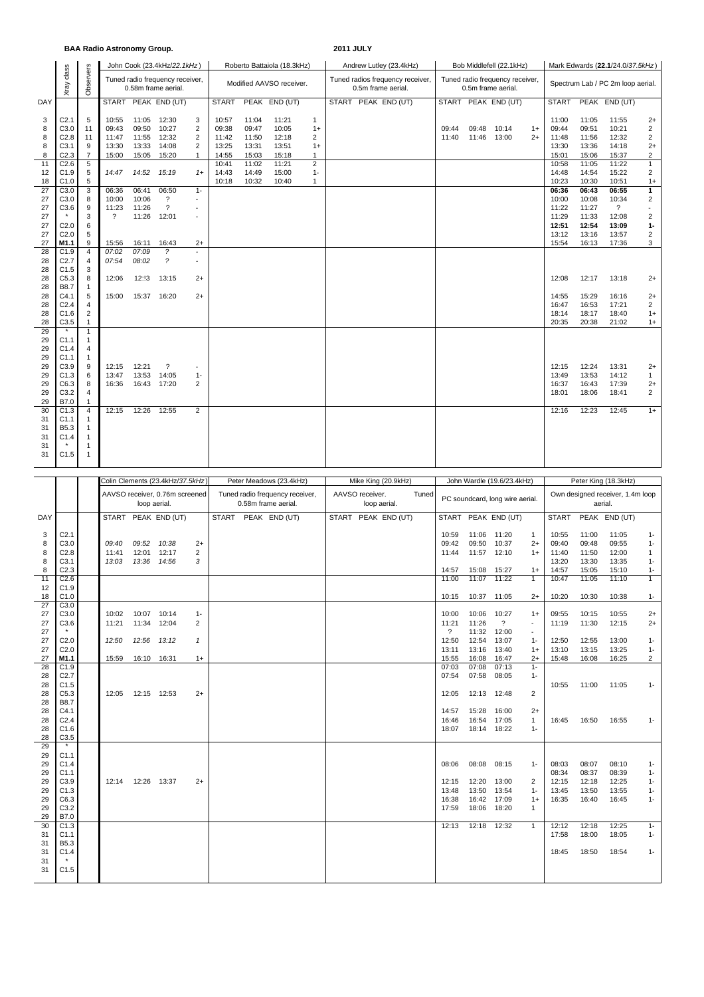|                      |                                              |                                                                     | <b>BAA Radio Astronomy Group.</b> |                         |                                                               |                                                        |                         |                          |                             |                                                        | <b>2011 JULY</b>        |                           |                                                       |                                     |                                             |                                  |                                  |                                            |                                                              |  |  |
|----------------------|----------------------------------------------|---------------------------------------------------------------------|-----------------------------------|-------------------------|---------------------------------------------------------------|--------------------------------------------------------|-------------------------|--------------------------|-----------------------------|--------------------------------------------------------|-------------------------|---------------------------|-------------------------------------------------------|-------------------------------------|---------------------------------------------|----------------------------------|----------------------------------|--------------------------------------------|--------------------------------------------------------------|--|--|
|                      |                                              |                                                                     |                                   |                         | John Cook (23.4kHz/22.1kHz)                                   |                                                        |                         |                          | Roberto Battaiola (18.3kHz) |                                                        | Andrew Lutley (23.4kHz) |                           |                                                       | Bob Middlefell (22.1kHz)            |                                             | Mark Edwards (22.1/24.0/37.5kHz) |                                  |                                            |                                                              |  |  |
|                      | class<br>Xray                                | Observers<br>Tuned radio frequency receiver,<br>0.58m frame aerial. |                                   |                         |                                                               |                                                        |                         | Modified AAVSO receiver. |                             | Tuned radios frequency receiver,<br>0.5m frame aerial. |                         |                           | Tuned radio frequency receiver,<br>0.5m frame aerial. |                                     | Spectrum Lab / PC 2m loop aerial.           |                                  |                                  |                                            |                                                              |  |  |
| DAY                  |                                              |                                                                     |                                   |                         | START PEAK END (UT)                                           |                                                        | START                   |                          | PEAK END (UT)               |                                                        | START PEAK END (UT)     |                           |                                                       | START PEAK END (UT)                 |                                             | <b>START</b>                     |                                  | PEAK END (UT)                              |                                                              |  |  |
| 3<br>8<br>8          | C <sub>2.1</sub><br>C3.0<br>C <sub>2.8</sub> | 5<br>11<br>11                                                       | 10:55<br>09:43<br>11:47           | 09:50<br>11:55          | 11:05 12:30<br>10:27<br>12:32                                 | 3<br>$\overline{2}$<br>$\overline{2}$                  | 10:57<br>09:38<br>11:42 | 11:04<br>09:47<br>11:50  | 11:21<br>10:05<br>12:18     | $\mathbf{1}$<br>$1+$<br>2                              |                         | 09:44<br>11:40            | 09:48<br>11:46                                        | 10:14<br>13:00                      | $1+$<br>$2+$                                | 11:00<br>09:44<br>11:48          | 11:05<br>09:51<br>11:56          | 11:55<br>10:21<br>12:32                    | $2+$<br>$\overline{2}$<br>$\overline{2}$                     |  |  |
| 8<br>8<br>11         | C <sub>3.1</sub><br>C <sub>2.3</sub><br>C2.6 | 9<br>$\overline{7}$<br>$\overline{5}$                               | 13:30<br>15:00                    | 13:33<br>15:05          | 14:08<br>15:20                                                | $\overline{2}$<br>$\mathbf{1}$                         | 13:25<br>14:55<br>10:41 | 13:31<br>15:03<br>11:02  | 13:51<br>15:18<br>11:21     | $1+$<br>$\mathbf{1}$<br>$\overline{2}$                 |                         |                           |                                                       |                                     |                                             | 13:30<br>15:01<br>10:58          | 13:36<br>15:06<br>11:05          | 14:18<br>15:37<br>11:22                    | $2+$<br>$\overline{2}$<br>$\mathbf{1}$                       |  |  |
| 12<br>18<br>27       | C1.9<br>C1.0<br>C3.0                         | $\sqrt{5}$<br>$\sqrt{5}$<br>3                                       | 14:47<br>06:36                    | 14:52<br>06:41          | 15:19<br>06:50                                                | $1+$<br>$1 -$                                          | 14:43<br>10:18          | 14:49<br>10:32           | 15:00<br>10:40              | $1 -$<br>$\mathbf{1}$                                  |                         |                           |                                                       |                                     |                                             | 14:48<br>10:23<br>06:36          | 14:54<br>10:30<br>06:43          | 15:22<br>10:51<br>06:55                    | $\overline{2}$<br>$1+$<br>$\mathbf{1}$                       |  |  |
| 27<br>27<br>27       | C <sub>3.0</sub><br>C3.6                     | 8<br>9<br>3                                                         | 10:00<br>11:23<br>$\gamma$        | 10:06<br>11:26<br>11:26 | $\overline{\mathcal{E}}$<br>$\overline{\mathcal{L}}$<br>12:01 | $\blacksquare$<br>$\blacksquare$<br>$\blacksquare$     |                         |                          |                             |                                                        |                         |                           |                                                       |                                     |                                             | 10:00<br>11:22<br>11:29          | 10:08<br>11:27<br>11:33          | 10:34<br>$\overline{\mathcal{E}}$<br>12:08 | $\overline{2}$<br>$\overline{\phantom{a}}$<br>$\overline{2}$ |  |  |
| 27<br>27<br>27       | C2.0<br>C <sub>2.0</sub><br>M1.1             | 6<br>5<br>9                                                         | 15:56                             | 16:11                   | 16:43                                                         | $2+$                                                   |                         |                          |                             |                                                        |                         |                           |                                                       |                                     |                                             | 12:51<br>13:12<br>15:54          | 12:54<br>13:16<br>16:13          | 13:09<br>13:57<br>17:36                    | $1 -$<br>2<br>3                                              |  |  |
| 28<br>28<br>28       | C1.9<br>C <sub>2.7</sub><br>C1.5             | $\overline{4}$<br>4<br>3                                            | 07:02<br>07:54                    | 07:09<br>08:02          | $\overline{\phantom{a}}$<br>$\tilde{z}$                       | $\overline{\phantom{a}}$<br>$\overline{\phantom{a}}$   |                         |                          |                             |                                                        |                         |                           |                                                       |                                     |                                             |                                  |                                  |                                            |                                                              |  |  |
| 28<br>28<br>28       | C5.3<br><b>B8.7</b><br>C4.1                  | 8<br>$\mathbf{1}$<br>5                                              | 12:06<br>15:00                    | 12:!3<br>15:37 16:20    | 13:15                                                         | $2+$<br>$2+$                                           |                         |                          |                             |                                                        |                         |                           |                                                       |                                     |                                             | 12:08<br>14:55                   | 12:17<br>15:29                   | 13:18<br>16:16                             | $2+$<br>$2+$                                                 |  |  |
| 28<br>28<br>28<br>29 | C <sub>2.4</sub><br>C1.6<br>C3.5<br>$\star$  | 4<br>$\overline{c}$<br>1<br>$\mathbf{1}$                            |                                   |                         |                                                               |                                                        |                         |                          |                             |                                                        |                         |                           |                                                       |                                     |                                             | 16:47<br>18:14<br>20:35          | 16:53<br>18:17<br>20:38          | 17:21<br>18:40<br>21:02                    | 2<br>$1+$<br>$1+$                                            |  |  |
| 29<br>29<br>29       | C1.1<br>C1.4<br>C1.1                         | $\mathbf{1}$<br>4<br>$\mathbf{1}$                                   |                                   |                         |                                                               |                                                        |                         |                          |                             |                                                        |                         |                           |                                                       |                                     |                                             |                                  |                                  |                                            |                                                              |  |  |
| 29<br>29<br>29<br>29 | C3.9<br>C1.3<br>C6.3<br>C3.2                 | 9<br>6<br>8<br>4                                                    | 12:15<br>13:47<br>16:36           | 12:21<br>13:53          | $\overline{\cdot}$<br>14:05<br>16:43 17:20                    | $1 -$<br>$\overline{2}$                                |                         |                          |                             |                                                        |                         |                           |                                                       |                                     |                                             | 12:15<br>13:49<br>16:37<br>18:01 | 12:24<br>13:53<br>16:43<br>18:06 | 13:31<br>14:12<br>17:39<br>18:41           | $2+$<br>$\mathbf{1}$<br>$2+$<br>$\overline{2}$               |  |  |
| 29<br>30<br>31<br>31 | B7.0<br>C1.3<br>C1.1<br>B5.3                 | $\mathbf{1}$<br>$\overline{4}$<br>1<br>1                            | 12:15                             |                         | 12:26 12:55                                                   | $\overline{2}$                                         |                         |                          |                             |                                                        |                         |                           |                                                       |                                     |                                             | 12:16                            | 12:23                            | 12:45                                      | $1+$                                                         |  |  |
| 31<br>31<br>31       | C <sub>1.4</sub><br>C1.5                     | 1<br>1<br>$\mathbf{1}$                                              |                                   |                         |                                                               |                                                        |                         |                          |                             |                                                        |                         |                           |                                                       |                                     |                                             |                                  |                                  |                                            |                                                              |  |  |
|                      |                                              |                                                                     |                                   |                         | Colin Clements (23.4kHz/37.5kHz)                              |                                                        |                         |                          | Peter Meadows (23.4kHz)     |                                                        | Mike King (20.9kHz)     |                           |                                                       | John Wardle (19.6/23.4kHz)          |                                             |                                  |                                  | Peter King (18.3kHz)                       |                                                              |  |  |
|                      |                                              | AAVSO receiver, 0.76m screened<br>loop aerial.                      |                                   |                         |                                                               | Tuned radio frequency receiver,<br>0.58m frame aerial. |                         |                          |                             | AAVSO receiver.<br>Tuned<br>loop aerial.               |                         |                           | PC soundcard, long wire aerial.                       |                                     | Own designed receiver, 1.4m loop<br>aerial. |                                  |                                  |                                            |                                                              |  |  |
| DAY                  |                                              |                                                                     |                                   |                         | START PEAK END (UT)                                           |                                                        |                         |                          | START PEAK END (UT)         |                                                        | START PEAK END (UT)     |                           |                                                       | START PEAK END (UT)                 |                                             | <b>START</b>                     |                                  | PEAK END (UT)                              |                                                              |  |  |
| 3<br>8               | C <sub>2.1</sub><br>C3.0                     |                                                                     | 09:40                             | 09:52                   |                                                               |                                                        |                         |                          |                             |                                                        |                         | 10:59                     | 11:06 11:20<br>09:50                                  | 10:37                               | $\mathbf{1}$                                | 10:55<br>09:40                   | 11:00<br>09:48                   | 11:05<br>09:55                             | $1 -$                                                        |  |  |
| 8                    | C <sub>2.8</sub>                             |                                                                     | 11:41                             | 12:01                   | 10:38<br>12:17                                                | $2+$<br>$\overline{2}$                                 |                         |                          |                             |                                                        |                         | 09:42<br>11:44            |                                                       | 11:57 12:10                         | $2+$<br>$1+$                                | 11:40                            | 11:50                            | 12:00                                      | $1 -$<br>$\mathbf{1}$                                        |  |  |
| 8<br>8               | C <sub>3.1</sub><br>C <sub>2.3</sub>         |                                                                     | 13:03                             |                         | 13:36 14:56                                                   | 3                                                      |                         |                          |                             |                                                        |                         | 14:57                     | 15:08                                                 | 15:27                               | $1+$                                        | 13:20<br>14:57                   | 13:30<br>15:05                   | 13:35<br>15:10                             | $1 -$<br>$1 -$                                               |  |  |
| 11<br>12<br>18       | C <sub>2.6</sub><br>C1.9<br>C1.0             |                                                                     |                                   |                         |                                                               |                                                        |                         |                          |                             |                                                        |                         | 11:00                     | 10:15  10:37  11:05                                   |                                     | 1<br>$2+$                                   | 10:47<br>10:20                   | 11:05<br>10:30                   | 11:10<br>10:38                             | 1<br>$1 -$                                                   |  |  |
| 27<br>27<br>27       | C3.0<br>C3.0<br>C3.6                         |                                                                     | 11:21                             | 10:02  10:07  10:14     | 11:34 12:04                                                   | $1 -$<br>$\overline{2}$                                |                         |                          |                             |                                                        |                         | 10:00<br>11:21            | 10:06<br>11:26                                        | 10:27<br>$\gamma$                   | $1+$<br>$\overline{\phantom{a}}$            | 09:55<br>11:19                   | 10:15<br>11:30                   | 10:55<br>12:15                             | $2+$<br>$2+$                                                 |  |  |
| 27<br>27<br>27       | C <sub>2.0</sub><br>C <sub>2.0</sub>         |                                                                     | 12:50                             | 12:56 13:12             |                                                               | $\mathbf{1}$                                           |                         |                          |                             |                                                        |                         | $\cdot$<br>12:50<br>13:11 | 12:54 13:07<br>13:16                                  | 11:32 12:00<br>13:40                | $\overline{a}$<br>$1 -$<br>$1+$             | 12:50<br>13:10                   | 12:55<br>13:15                   | 13:00<br>13:25                             | $1 -$<br>$1 -$                                               |  |  |
| 27<br>28<br>28       | M1.1<br>C1.9<br>C <sub>2.7</sub>             |                                                                     |                                   | 15:59  16:10  16:31     |                                                               | $1+$                                                   |                         |                          |                             |                                                        |                         | 15:55<br>07:03<br>07:54   | 16:08<br>07:08<br>07:58                               | 16:47<br>07:13<br>08:05             | $2+$<br>$1 -$<br>$1 -$                      | 15:48                            | 16:08                            | 16:25                                      | $\overline{2}$                                               |  |  |
| 28<br>28<br>28<br>28 | C1.5<br>C5.3<br>B8.7<br>C4.1                 |                                                                     |                                   | 12:05  12:15  12:53     |                                                               | $2+$                                                   |                         |                          |                             |                                                        |                         | 12:05<br>14:57            | 12:13 12:48<br>15:28                                  | 16:00                               | 2<br>$2+$                                   | 10:55                            | 11:00                            | 11:05                                      | $1 -$                                                        |  |  |
| 28<br>28<br>28       | C <sub>2.4</sub><br>C1.6<br>C3.5<br>$\star$  |                                                                     |                                   |                         |                                                               |                                                        |                         |                          |                             |                                                        |                         | 16:46<br>18:07            | 16:54<br>18:14 18:22                                  | 17:05                               | $\mathbf{1}$<br>$1 -$                       | 16:45                            | 16:50                            | 16:55                                      | $1 -$                                                        |  |  |
| 29<br>29<br>29       | C1.1<br>C1.4                                 |                                                                     |                                   |                         |                                                               |                                                        |                         |                          |                             |                                                        |                         | 08:06                     |                                                       | 08:08 08:15                         | $1 -$                                       | 08:03                            | 08:07                            | 08:10                                      | $1 -$                                                        |  |  |
| 29                   | C <sub>1.1</sub>                             |                                                                     | 12:14  12:26  13:37               |                         |                                                               | $2+$                                                   |                         |                          |                             |                                                        |                         | 12:15                     | 12:20 13:00                                           |                                     | 2                                           | 08:34<br>12:15                   | 08:37<br>12:18                   | 08:39<br>12:25                             | $1 -$<br>$1 -$                                               |  |  |
|                      | C3.9                                         |                                                                     |                                   |                         |                                                               |                                                        |                         |                          |                             |                                                        |                         | 13:48                     | 13:50                                                 |                                     |                                             | 13:45                            |                                  |                                            |                                                              |  |  |
| 29<br>29<br>29<br>29 | C1.3<br>C6.3<br>C3.2                         |                                                                     |                                   |                         |                                                               |                                                        |                         |                          |                             |                                                        |                         | 16:38<br>17:59            |                                                       | 13:54<br>16:42 17:09<br>18:06 18:20 | $1 -$<br>$1+$<br>$\mathbf{1}$               | 16:35                            | 13:50<br>16:40                   | 13:55<br>16:45                             | $1 -$<br>$1 -$                                               |  |  |
| 29<br>30<br>31<br>31 | B7.0<br>C1.3<br>C1.1<br>B5.3                 |                                                                     |                                   |                         |                                                               |                                                        |                         |                          |                             |                                                        |                         | 12:13                     | 12:18 12:32                                           |                                     | $\mathbf{1}$                                | 12:12<br>17:58                   | 12:18<br>18:00                   | 12:25<br>18:05                             | $1 -$<br>$1 -$                                               |  |  |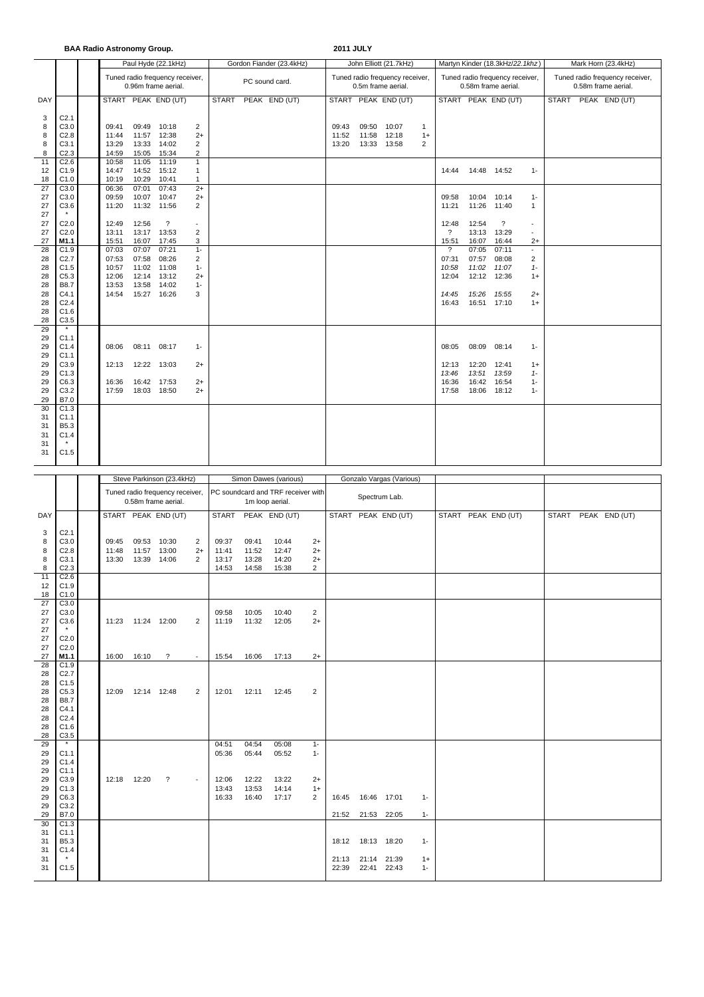**BAA Radio Astronomy Group. 2011 JULY**

|          |                     |                |       | Paul Hyde (22.1kHz)                                    |                          |              | Gordon Fiander (23.4kHz) |       |       | John Elliott (21.7kHz)                                |                |                          |                | Martyn Kinder (18.3kHz/22.1khz)                        |                | Mark Horn (23.4kHz)                                    |  |               |  |  |
|----------|---------------------|----------------|-------|--------------------------------------------------------|--------------------------|--------------|--------------------------|-------|-------|-------------------------------------------------------|----------------|--------------------------|----------------|--------------------------------------------------------|----------------|--------------------------------------------------------|--|---------------|--|--|
|          |                     |                |       | Tuned radio frequency receiver,<br>0.96m frame aerial. |                          |              | PC sound card.           |       |       | Tuned radio frequency receiver,<br>0.5m frame aerial. |                |                          |                | Tuned radio frequency receiver,<br>0.58m frame aerial. |                | Tuned radio frequency receiver,<br>0.58m frame aerial. |  |               |  |  |
| DAY      |                     |                |       | START PEAK END (UT)                                    |                          | <b>START</b> | PEAK END (UT)            |       |       | START PEAK END (UT)                                   |                |                          |                | START PEAK END (UT)                                    |                | <b>START</b>                                           |  | PEAK END (UT) |  |  |
| 3        | C <sub>2.1</sub>    |                |       |                                                        |                          |              |                          |       |       |                                                       |                |                          |                |                                                        |                |                                                        |  |               |  |  |
| 8        | C <sub>3.0</sub>    | 09:41          |       | 09:49 10:18                                            | 2                        |              |                          | 09:43 | 09:50 | 10:07                                                 | $\mathbf{1}$   |                          |                |                                                        |                |                                                        |  |               |  |  |
| 8        | C2.8                | 11:44          |       | 11:57 12:38                                            | $2+$                     |              |                          | 11:52 | 11:58 | 12:18                                                 | $1+$           |                          |                |                                                        |                |                                                        |  |               |  |  |
| 8        | C3.1                | 13:29          | 13:33 | 14:02                                                  | $\overline{2}$           |              |                          | 13:20 | 13:33 | 13:58                                                 | $\overline{2}$ |                          |                |                                                        |                |                                                        |  |               |  |  |
| 8        | C <sub>2.3</sub>    | 14:59          |       | 15:05 15:34                                            | $\overline{2}$           |              |                          |       |       |                                                       |                |                          |                |                                                        |                |                                                        |  |               |  |  |
| 11       | C <sub>2.6</sub>    | 10:58          | 11:05 | 11:19                                                  | $\mathbf{1}$             |              |                          |       |       |                                                       |                |                          |                |                                                        |                |                                                        |  |               |  |  |
| 12       | C1.9                | 14:47          |       | 14:52 15:12                                            | $\mathbf{1}$             |              |                          |       |       |                                                       |                | 14:44                    | 14:48 14:52    |                                                        | $1 -$          |                                                        |  |               |  |  |
| 18       | C1.0                | 10:19          | 10:29 | 10:41                                                  | $\mathbf{1}$             |              |                          |       |       |                                                       |                |                          |                |                                                        |                |                                                        |  |               |  |  |
| 27       | C3.0                | 06:36          | 07:01 | 07:43                                                  | $2+$                     |              |                          |       |       |                                                       |                |                          |                |                                                        |                |                                                        |  |               |  |  |
| 27<br>27 | C3.0<br>C3.6        | 09:59<br>11:20 |       | 10:07 10:47<br>11:32 11:56                             | $2+$<br>$\overline{2}$   |              |                          |       |       |                                                       |                | 09:58<br>11:21           | 10:04<br>11:26 | 10:14<br>11:40                                         | $1 -$          |                                                        |  |               |  |  |
| 27       |                     |                |       |                                                        |                          |              |                          |       |       |                                                       |                |                          |                |                                                        | $\mathbf{1}$   |                                                        |  |               |  |  |
| 27       | C <sub>2.0</sub>    | 12:49          | 12:56 | $\overline{\cdot}$                                     | $\overline{\phantom{a}}$ |              |                          |       |       |                                                       |                | 12:48                    | 12:54          | $\overline{\phantom{0}}$                               | $\sim$         |                                                        |  |               |  |  |
| 27       | C <sub>2.0</sub>    | 13:11          |       | 13:17 13:53                                            | $\overline{2}$           |              |                          |       |       |                                                       |                | $\overline{\mathcal{L}}$ | 13:13          | 13:29                                                  | $\mathbf{r}$   |                                                        |  |               |  |  |
| 27       | M1.1                | 15:51          | 16:07 | 17:45                                                  | 3                        |              |                          |       |       |                                                       |                | 15:51                    | 16:07          | 16:44                                                  | $2+$           |                                                        |  |               |  |  |
| 28       | C1.9                | 07:03          | 07:07 | 07:21                                                  | $1 -$                    |              |                          |       |       |                                                       |                | $\overline{\mathcal{E}}$ | 07:05          | 07:11                                                  | $\blacksquare$ |                                                        |  |               |  |  |
| 28       | C2.7                | 07:53          | 07:58 | 08:26                                                  | $\overline{2}$           |              |                          |       |       |                                                       |                | 07:31                    | 07:57          | 08:08                                                  | $\overline{2}$ |                                                        |  |               |  |  |
| 28       | C1.5                | 10:57          |       | 11:02 11:08                                            | $1 -$                    |              |                          |       |       |                                                       |                | 10:58                    | 11:02          | 11:07                                                  | $1 -$          |                                                        |  |               |  |  |
| 28       | C5.3                | 12:06          | 12:14 | 13:12                                                  | $2+$                     |              |                          |       |       |                                                       |                | 12:04                    | 12:12          | 12:36                                                  | $1+$           |                                                        |  |               |  |  |
| 28       | <b>B8.7</b>         | 13:53          | 13:58 | 14:02                                                  | $1 -$                    |              |                          |       |       |                                                       |                |                          |                |                                                        |                |                                                        |  |               |  |  |
| 28       | C4.1                | 14:54          |       | 15:27 16:26                                            | 3                        |              |                          |       |       |                                                       |                | 14:45                    | 15:26          | 15:55                                                  | $2+$           |                                                        |  |               |  |  |
| 28       | C <sub>2.4</sub>    |                |       |                                                        |                          |              |                          |       |       |                                                       |                | 16:43                    | 16:51 17:10    |                                                        | $1+$           |                                                        |  |               |  |  |
| 28<br>28 | C1.6<br>C3.5        |                |       |                                                        |                          |              |                          |       |       |                                                       |                |                          |                |                                                        |                |                                                        |  |               |  |  |
| 29       | $\star$             |                |       |                                                        |                          |              |                          |       |       |                                                       |                |                          |                |                                                        |                |                                                        |  |               |  |  |
| 29       | C1.1                |                |       |                                                        |                          |              |                          |       |       |                                                       |                |                          |                |                                                        |                |                                                        |  |               |  |  |
| 29       | C1.4                | 08:06          |       | 08:11 08:17                                            | $1 -$                    |              |                          |       |       |                                                       |                | 08:05                    | 08:09          | 08:14                                                  | $1 -$          |                                                        |  |               |  |  |
| 29       | C1.1                |                |       |                                                        |                          |              |                          |       |       |                                                       |                |                          |                |                                                        |                |                                                        |  |               |  |  |
| 29       | C3.9                | 12:13          |       | 12:22 13:03                                            | $2+$                     |              |                          |       |       |                                                       |                | 12:13                    | 12:20          | 12:41                                                  | $1+$           |                                                        |  |               |  |  |
| 29       | C1.3                |                |       |                                                        |                          |              |                          |       |       |                                                       |                | 13:46                    | 13:51          | 13:59                                                  | $1 -$          |                                                        |  |               |  |  |
| 29       | C6.3                | 16:36          |       | 16:42 17:53                                            | $2+$                     |              |                          |       |       |                                                       |                | 16:36                    | 16:42          | 16:54                                                  | $1 -$          |                                                        |  |               |  |  |
| 29       | C3.2                | 17:59          |       | 18:03 18:50                                            | $2+$                     |              |                          |       |       |                                                       |                | 17:58                    | 18:06          | 18:12                                                  | $1 -$          |                                                        |  |               |  |  |
| 29       | B7.0                |                |       |                                                        |                          |              |                          |       |       |                                                       |                |                          |                |                                                        |                |                                                        |  |               |  |  |
| 30       | C1.3                |                |       |                                                        |                          |              |                          |       |       |                                                       |                |                          |                |                                                        |                |                                                        |  |               |  |  |
| 31       | C1.1<br><b>B5.3</b> |                |       |                                                        |                          |              |                          |       |       |                                                       |                |                          |                |                                                        |                |                                                        |  |               |  |  |
| 31<br>31 | C1.4                |                |       |                                                        |                          |              |                          |       |       |                                                       |                |                          |                |                                                        |                |                                                        |  |               |  |  |
| 31       |                     |                |       |                                                        |                          |              |                          |       |       |                                                       |                |                          |                |                                                        |                |                                                        |  |               |  |  |
| 31       | C1.5                |                |       |                                                        |                          |              |                          |       |       |                                                       |                |                          |                |                                                        |                |                                                        |  |               |  |  |
|          |                     |                |       |                                                        |                          |              |                          |       |       |                                                       |                |                          |                |                                                        |                |                                                        |  |               |  |  |

|                       |                     |       |             | Steve Parkinson (23.4kHz)                              |                |                |                                    | Simon Dawes (various) |                        |                     |       | Gonzalo Vargas (Various) |       |                     |              |               |  |
|-----------------------|---------------------|-------|-------------|--------------------------------------------------------|----------------|----------------|------------------------------------|-----------------------|------------------------|---------------------|-------|--------------------------|-------|---------------------|--------------|---------------|--|
|                       |                     |       |             |                                                        |                |                | PC soundcard and TRF receiver with |                       |                        |                     |       |                          |       |                     |              |               |  |
|                       |                     |       |             | Tuned radio frequency receiver,<br>0.58m frame aerial. |                |                |                                    | Spectrum Lab.         |                        |                     |       |                          |       |                     |              |               |  |
| DAY                   |                     |       |             | START PEAK END (UT)                                    |                | <b>START</b>   |                                    | PEAK END (UT)         |                        | START PEAK END (UT) |       |                          |       | START PEAK END (UT) | <b>START</b> | PEAK END (UT) |  |
| 3                     | C <sub>2.1</sub>    |       |             |                                                        |                |                |                                    |                       |                        |                     |       |                          |       |                     |              |               |  |
| 8                     | C3.0                | 09:45 | 09:53 10:30 |                                                        | $\overline{2}$ | 09:37          | 09:41                              | 10:44                 | $2+$                   |                     |       |                          |       |                     |              |               |  |
| 8                     | C2.8                | 11:48 |             | 11:57 13:00                                            | $2+$           | 11:41          | 11:52                              | 12:47                 | $2+$                   |                     |       |                          |       |                     |              |               |  |
| 8                     | C3.1                | 13:30 |             | 13:39 14:06                                            | $\overline{2}$ | 13:17          | 13:28                              | 14:20                 | $2+$                   |                     |       |                          |       |                     |              |               |  |
| 8                     | C <sub>2.3</sub>    |       |             |                                                        |                | 14:53          | 14:58                              | 15:38                 | 2                      |                     |       |                          |       |                     |              |               |  |
| 11                    | C2.6                |       |             |                                                        |                |                |                                    |                       |                        |                     |       |                          |       |                     |              |               |  |
| 12                    | C1.9                |       |             |                                                        |                |                |                                    |                       |                        |                     |       |                          |       |                     |              |               |  |
| 18                    | C1.0                |       |             |                                                        |                |                |                                    |                       |                        |                     |       |                          |       |                     |              |               |  |
| $\overline{27}$<br>27 | C3.0<br>C3.0        |       |             |                                                        |                | 09:58          | 10:05                              | 10:40                 | $\overline{2}$         |                     |       |                          |       |                     |              |               |  |
| 27                    | C3.6                | 11:23 | 11:24 12:00 |                                                        | $\overline{2}$ | 11:19          | 11:32                              | 12:05                 | $2+$                   |                     |       |                          |       |                     |              |               |  |
| 27                    | $\star$             |       |             |                                                        |                |                |                                    |                       |                        |                     |       |                          |       |                     |              |               |  |
| 27                    | C <sub>2.0</sub>    |       |             |                                                        |                |                |                                    |                       |                        |                     |       |                          |       |                     |              |               |  |
| 27                    | C <sub>2.0</sub>    |       |             |                                                        |                |                |                                    |                       |                        |                     |       |                          |       |                     |              |               |  |
| 27                    | M1.1                | 16:00 | 16:10       | $\overline{\mathcal{E}}$                               | $\sim$         | 15:54          | 16:06                              | 17:13                 | $2+$                   |                     |       |                          |       |                     |              |               |  |
| 28                    | C1.9                |       |             |                                                        |                |                |                                    |                       |                        |                     |       |                          |       |                     |              |               |  |
| 28                    | C2.7                |       |             |                                                        |                |                |                                    |                       |                        |                     |       |                          |       |                     |              |               |  |
| 28                    | C1.5                |       |             |                                                        |                |                |                                    |                       |                        |                     |       |                          |       |                     |              |               |  |
| 28                    | C5.3                | 12:09 | 12:14 12:48 |                                                        | 2              | 12:01          | 12:11                              | 12:45                 | $\overline{2}$         |                     |       |                          |       |                     |              |               |  |
| 28<br>28              | <b>B8.7</b><br>C4.1 |       |             |                                                        |                |                |                                    |                       |                        |                     |       |                          |       |                     |              |               |  |
| 28                    | C <sub>2.4</sub>    |       |             |                                                        |                |                |                                    |                       |                        |                     |       |                          |       |                     |              |               |  |
| 28                    | C1.6                |       |             |                                                        |                |                |                                    |                       |                        |                     |       |                          |       |                     |              |               |  |
| 28                    | C3.5                |       |             |                                                        |                |                |                                    |                       |                        |                     |       |                          |       |                     |              |               |  |
| 29                    | $\star$             |       |             |                                                        |                | 04:51          | 04:54                              | 05:08                 | $1 -$                  |                     |       |                          |       |                     |              |               |  |
| 29                    | C1.1                |       |             |                                                        |                | 05:36          | 05:44                              | 05:52                 | $1 -$                  |                     |       |                          |       |                     |              |               |  |
| 29                    | C1.4                |       |             |                                                        |                |                |                                    |                       |                        |                     |       |                          |       |                     |              |               |  |
| 29                    | C1.1                |       |             |                                                        |                |                |                                    |                       |                        |                     |       |                          |       |                     |              |               |  |
| 29                    | C3.9                | 12:18 | 12:20       | $\overline{\cdot}$                                     | $\blacksquare$ | 12:06<br>13:43 | 12:22<br>13:53                     | 13:22<br>14:14        | $2+$                   |                     |       |                          |       |                     |              |               |  |
| 29<br>29              | C1.3<br>C6.3        |       |             |                                                        |                | 16:33          | 16:40                              | 17:17                 | $1+$<br>$\overline{2}$ | 16:45               |       | 16:46 17:01              | $1 -$ |                     |              |               |  |
| 29                    | C3.2                |       |             |                                                        |                |                |                                    |                       |                        |                     |       |                          |       |                     |              |               |  |
| 29                    | B7.0                |       |             |                                                        |                |                |                                    |                       |                        | 21:52               |       | 21:53 22:05              | $1 -$ |                     |              |               |  |
| 30                    | C1.3                |       |             |                                                        |                |                |                                    |                       |                        |                     |       |                          |       |                     |              |               |  |
| 31                    | C1.1                |       |             |                                                        |                |                |                                    |                       |                        |                     |       |                          |       |                     |              |               |  |
| 31                    | B5.3                |       |             |                                                        |                |                |                                    |                       |                        | 18:12               |       | 18:13 18:20              | $1 -$ |                     |              |               |  |
| 31                    | C1.4                |       |             |                                                        |                |                |                                    |                       |                        |                     |       |                          |       |                     |              |               |  |
| 31                    | $\pmb{\star}$       |       |             |                                                        |                |                |                                    |                       |                        | 21:13               | 21:14 | 21:39                    | $1+$  |                     |              |               |  |
| 31                    | C1.5                |       |             |                                                        |                |                |                                    |                       |                        | 22:39               | 22:41 | 22:43                    | $1 -$ |                     |              |               |  |
|                       |                     |       |             |                                                        |                |                |                                    |                       |                        |                     |       |                          |       |                     |              |               |  |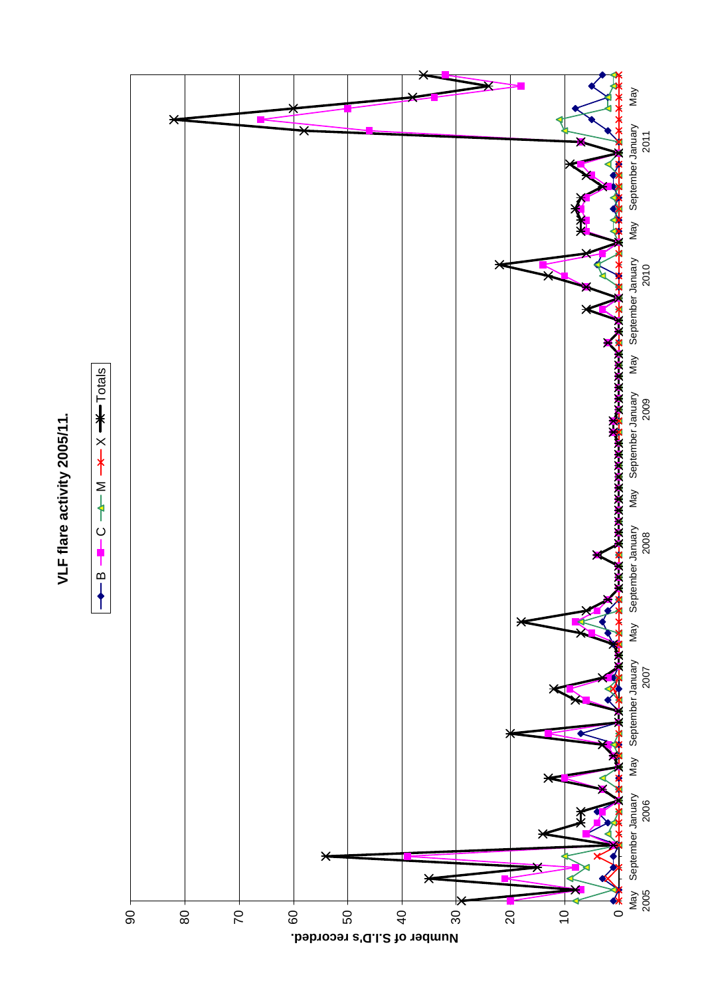## VLF flare activity 2005/11. **VLF flare activity 2005/11.**



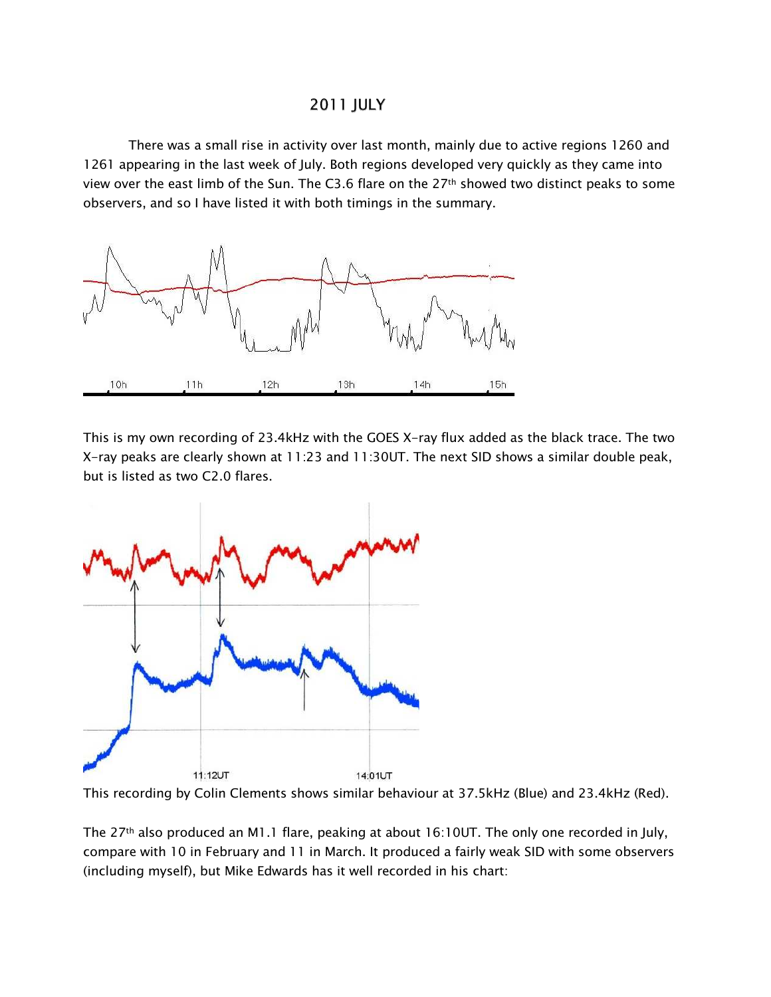## **2011 JULY**

There was a small rise in activity over last month, mainly due to active regions 1260 and 1261 appearing in the last week of July. Both regions developed very quickly as they came into view over the east limb of the Sun. The C3.6 flare on the 27<sup>th</sup> showed two distinct peaks to some observers, and so I have listed it with both timings in the summary.



This is my own recording of 23.4kHz with the GOES X-ray flux added as the black trace. The two X-ray peaks are clearly shown at 11:23 and 11:30UT. The next SID shows a similar double peak, but is listed as two C2.0 flares.





The 27<sup>th</sup> also produced an M1.1 flare, peaking at about 16:10UT. The only one recorded in July, compare with 10 in February and 11 in March. It produced a fairly weak SID with some observers (including myself), but Mike Edwards has it well recorded in his chart: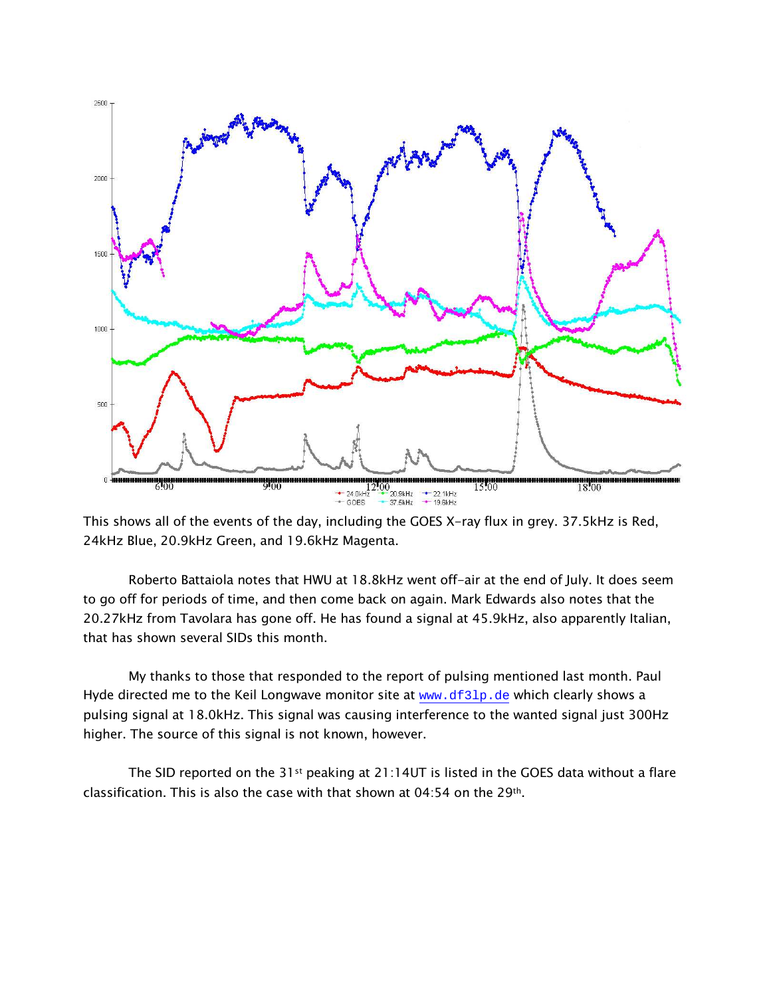

This shows all of the events of the day, including the GOES X-ray flux in grey. 37.5kHz is Red, 24kHz Blue, 20.9kHz Green, and 19.6kHz Magenta.

Roberto Battaiola notes that HWU at 18.8kHz went off-air at the end of July. It does seem to go off for periods of time, and then come back on again. Mark Edwards also notes that the 20.27kHz from Tavolara has gone off. He has found a signal at 45.9kHz, also apparently Italian, that has shown several SIDs this month.

My thanks to those that responded to the report of pulsing mentioned last month. Paul Hyde directed me to the Keil Longwave monitor site at www.df31p.de which clearly shows a pulsing signal at 18.0kHz. This signal was causing interference to the wanted signal just 300Hz higher. The source of this signal is not known, however.

The SID reported on the 31st peaking at 21:14UT is listed in the GOES data without a flare classification. This is also the case with that shown at  $04:54$  on the  $29<sup>th</sup>$ .